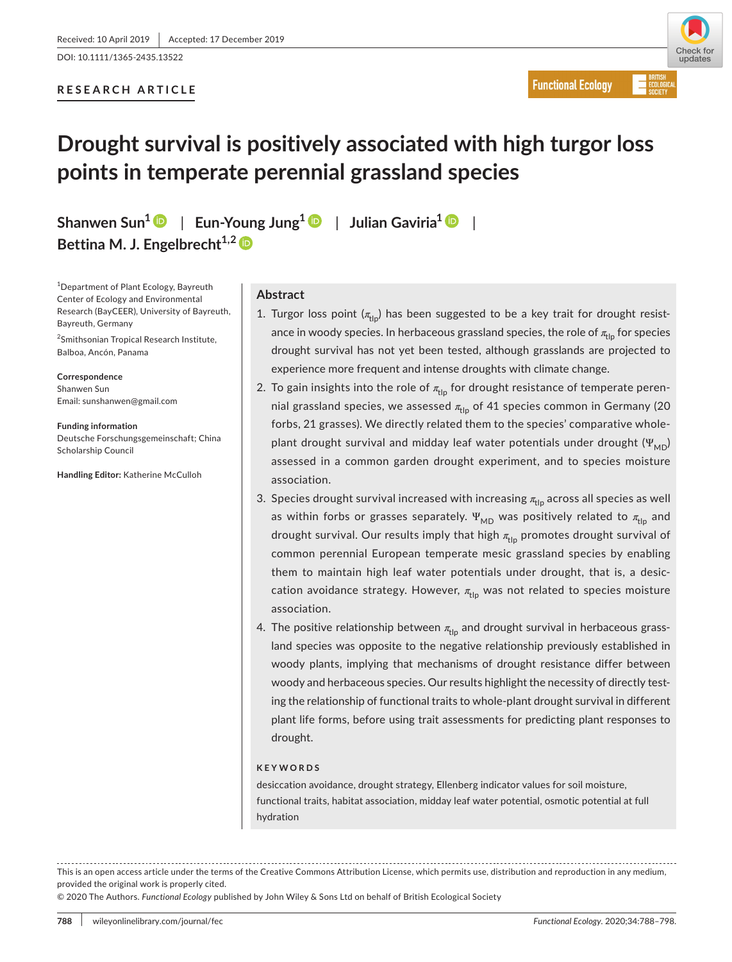DOI: 10.1111/1365-2435.13522

# **RESEARCH ARTICLE**





# **Drought survival is positively associated with high turgor loss points in temperate perennial grassland species**

**Shanwen Sun[1](https://orcid.org/0000-0003-4358-8636)** | **Eun-Young Jung[1](https://orcid.org/0000-0002-1613-2396)** | **Julian Gaviria1** | **Bettina M. J. Engelbrecht**<sup>1,[2](https://orcid.org/0000-0001-8314-0778)</sup>

1 Department of Plant Ecology, Bayreuth Center of Ecology and Environmental Research (BayCEER), University of Bayreuth, Bayreuth, Germany 2 Smithsonian Tropical Research Institute,

Balboa, Ancón, Panama

**Correspondence** Shanwen Sun Email: [sunshanwen@gmail.com](mailto:sunshanwen@gmail.com)

**Funding information** Deutsche Forschungsgemeinschaft; China Scholarship Council

**Handling Editor:** Katherine McCulloh

## **Abstract**

- 1. Turgor loss point ( $\pi_{\text{th}}$ ) has been suggested to be a key trait for drought resistance in woody species. In herbaceous grassland species, the role of  $π_{\text{th}}$  for species drought survival has not yet been tested, although grasslands are projected to experience more frequent and intense droughts with climate change.
- 2. To gain insights into the role of  $π_{\text{tlp}}$  for drought resistance of temperate perennial grassland species, we assessed  $π_{\text{th}}$  of 41 species common in Germany (20 forbs, 21 grasses). We directly related them to the species' comparative wholeplant drought survival and midday leaf water potentials under drought ( $\Psi_{MD}$ ) assessed in a common garden drought experiment, and to species moisture association.
- 3. Species drought survival increased with increasing  $\pi_{\text{tip}}$  across all species as well as within forbs or grasses separately. Ψ<sub>MD</sub> was positively related to  $\pi_{\text{th}}$  and drought survival. Our results imply that high  $π_{\text{th}}$  promotes drought survival of common perennial European temperate mesic grassland species by enabling them to maintain high leaf water potentials under drought, that is, a desiccation avoidance strategy. However,  $π_{\text{th}}$  was not related to species moisture association.
- 4. The positive relationship between  $π_{\text{th}}$  and drought survival in herbaceous grassland species was opposite to the negative relationship previously established in woody plants, implying that mechanisms of drought resistance differ between woody and herbaceous species. Our results highlight the necessity of directly testing the relationship of functional traits to whole-plant drought survival in different plant life forms, before using trait assessments for predicting plant responses to drought.

## **KEYWORDS**

desiccation avoidance, drought strategy, Ellenberg indicator values for soil moisture, functional traits, habitat association, midday leaf water potential, osmotic potential at full hydration

This is an open access article under the terms of the [Creative Commons Attribution](http://creativecommons.org/licenses/by/4.0/) License, which permits use, distribution and reproduction in any medium, provided the original work is properly cited.

© 2020 The Authors. *Functional Ecology* published by John Wiley & Sons Ltd on behalf of British Ecological Society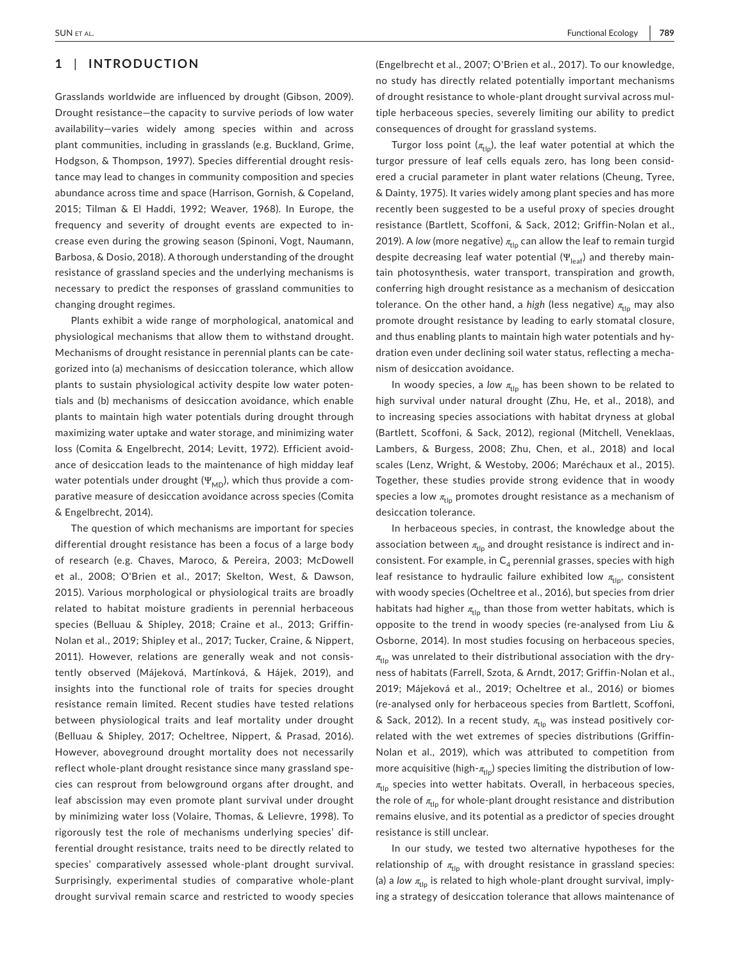# **1** | **INTRODUCTION**

Grasslands worldwide are influenced by drought (Gibson, 2009). Drought resistance—the capacity to survive periods of low water availability—varies widely among species within and across plant communities, including in grasslands (e.g. Buckland, Grime, Hodgson, & Thompson, 1997). Species differential drought resistance may lead to changes in community composition and species abundance across time and space (Harrison, Gornish, & Copeland, 2015; Tilman & El Haddi, 1992; Weaver, 1968). In Europe, the frequency and severity of drought events are expected to increase even during the growing season (Spinoni, Vogt, Naumann, Barbosa, & Dosio, 2018). A thorough understanding of the drought resistance of grassland species and the underlying mechanisms is necessary to predict the responses of grassland communities to changing drought regimes.

Plants exhibit a wide range of morphological, anatomical and physiological mechanisms that allow them to withstand drought. Mechanisms of drought resistance in perennial plants can be categorized into (a) mechanisms of desiccation tolerance, which allow plants to sustain physiological activity despite low water potentials and (b) mechanisms of desiccation avoidance, which enable plants to maintain high water potentials during drought through maximizing water uptake and water storage, and minimizing water loss (Comita & Engelbrecht, 2014; Levitt, 1972). Efficient avoidance of desiccation leads to the maintenance of high midday leaf water potentials under drought ( $\Psi_{MD}$ ), which thus provide a comparative measure of desiccation avoidance across species (Comita & Engelbrecht, 2014).

The question of which mechanisms are important for species differential drought resistance has been a focus of a large body of research (e.g. Chaves, Maroco, & Pereira, 2003; McDowell et al., 2008; O'Brien et al., 2017; Skelton, West, & Dawson, 2015). Various morphological or physiological traits are broadly related to habitat moisture gradients in perennial herbaceous species (Belluau & Shipley, 2018; Craine et al., 2013; Griffin-Nolan et al., 2019; Shipley et al., 2017; Tucker, Craine, & Nippert, 2011). However, relations are generally weak and not consistently observed (Májeková, Martínková, & Hájek, 2019), and insights into the functional role of traits for species drought resistance remain limited. Recent studies have tested relations between physiological traits and leaf mortality under drought (Belluau & Shipley, 2017; Ocheltree, Nippert, & Prasad, 2016). However, aboveground drought mortality does not necessarily reflect whole-plant drought resistance since many grassland species can resprout from belowground organs after drought, and leaf abscission may even promote plant survival under drought by minimizing water loss (Volaire, Thomas, & Lelievre, 1998). To rigorously test the role of mechanisms underlying species' differential drought resistance, traits need to be directly related to species' comparatively assessed whole-plant drought survival. Surprisingly, experimental studies of comparative whole-plant drought survival remain scarce and restricted to woody species

(Engelbrecht et al., 2007; O'Brien et al., 2017). To our knowledge, no study has directly related potentially important mechanisms of drought resistance to whole-plant drought survival across multiple herbaceous species, severely limiting our ability to predict consequences of drought for grassland systems.

Turgor loss point  $(\pi_{\text{th}})$ , the leaf water potential at which the turgor pressure of leaf cells equals zero, has long been considered a crucial parameter in plant water relations (Cheung, Tyree, & Dainty, 1975). It varies widely among plant species and has more recently been suggested to be a useful proxy of species drought resistance (Bartlett, Scoffoni, & Sack, 2012; Griffin-Nolan et al., 2019). A *low* (more negative)  $\pi_{\text{th}}$  can allow the leaf to remain turgid despite decreasing leaf water potential ( $\Psi_{\text{leaf}}$ ) and thereby maintain photosynthesis, water transport, transpiration and growth, conferring high drought resistance as a mechanism of desiccation tolerance. On the other hand, a *high* (less negative)  $π_{\text{tlp}}$  may also promote drought resistance by leading to early stomatal closure, and thus enabling plants to maintain high water potentials and hydration even under declining soil water status, reflecting a mechanism of desiccation avoidance.

In woody species, a *low*  $π_{\text{th}}$  has been shown to be related to high survival under natural drought (Zhu, He, et al., 2018), and to increasing species associations with habitat dryness at global (Bartlett, Scoffoni, & Sack, 2012), regional (Mitchell, Veneklaas, Lambers, & Burgess, 2008; Zhu, Chen, et al., 2018) and local scales (Lenz, Wright, & Westoby, 2006; Maréchaux et al., 2015). Together, these studies provide strong evidence that in woody species a low  $π_{\text{th}}$  promotes drought resistance as a mechanism of desiccation tolerance.

In herbaceous species, in contrast, the knowledge about the association between  $π_{\text{th}}$  and drought resistance is indirect and inconsistent. For example, in  $C_4$  perennial grasses, species with high leaf resistance to hydraulic failure exhibited low  $π_{\text{th}}$ , consistent with woody species (Ocheltree et al., 2016), but species from drier habitats had higher  $π_{\text{th}}$  than those from wetter habitats, which is opposite to the trend in woody species (re-analysed from Liu & Osborne, 2014). In most studies focusing on herbaceous species,  $\pi_{\text{th}}$  was unrelated to their distributional association with the dryness of habitats (Farrell, Szota, & Arndt, 2017; Griffin-Nolan et al., 2019; Májeková et al., 2019; Ocheltree et al., 2016) or biomes (re-analysed only for herbaceous species from Bartlett, Scoffoni, & Sack, 2012). In a recent study,  $\pi_{\text{th}}$  was instead positively correlated with the wet extremes of species distributions (Griffin-Nolan et al., 2019), which was attributed to competition from more acquisitive (high-π<sub>tln</sub>) species limiting the distribution of low $π_{\text{tip}}$  species into wetter habitats. Overall, in herbaceous species, the role of  $π_{\text{th}}$  for whole-plant drought resistance and distribution remains elusive, and its potential as a predictor of species drought resistance is still unclear.

In our study, we tested two alternative hypotheses for the relationship of  $\pi_{\text{th}}$  with drought resistance in grassland species: (a) a *low*  $\pi$ <sub>tlp</sub> is related to high whole-plant drought survival, implying a strategy of desiccation tolerance that allows maintenance of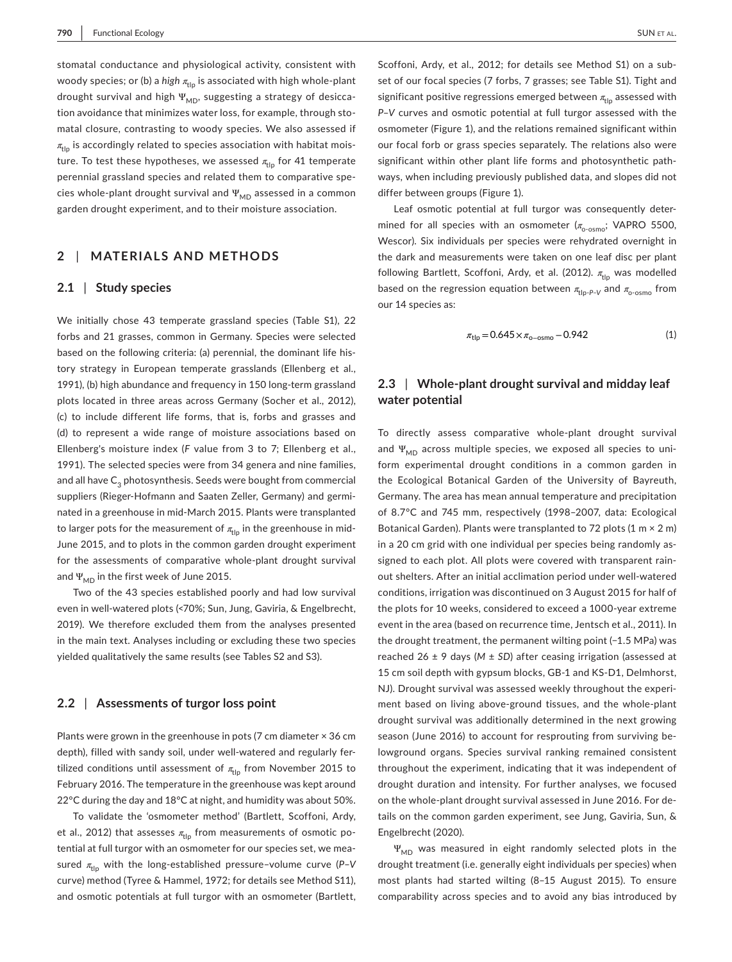stomatal conductance and physiological activity, consistent with woody species; or (b) a *high*  $π_{\text{th}}$  is associated with high whole-plant drought survival and high  $\Psi_{MD}$ , suggesting a strategy of desiccation avoidance that minimizes water loss, for example, through stomatal closure, contrasting to woody species. We also assessed if  $\pi_{\text{th}}$  is accordingly related to species association with habitat moisture. To test these hypotheses, we assessed  $π_{\text{th}}$  for 41 temperate perennial grassland species and related them to comparative species whole-plant drought survival and  $\Psi_{MD}$  assessed in a common garden drought experiment, and to their moisture association.

## **2** | **MATERIALS AND METHODS**

#### **2.1** | **Study species**

We initially chose 43 temperate grassland species (Table S1), 22 forbs and 21 grasses, common in Germany. Species were selected based on the following criteria: (a) perennial, the dominant life history strategy in European temperate grasslands (Ellenberg et al., 1991), (b) high abundance and frequency in 150 long-term grassland plots located in three areas across Germany (Socher et al., 2012), (c) to include different life forms, that is, forbs and grasses and (d) to represent a wide range of moisture associations based on Ellenberg's moisture index (*F* value from 3 to 7; Ellenberg et al., 1991). The selected species were from 34 genera and nine families, and all have  $C_3$  photosynthesis. Seeds were bought from commercial suppliers (Rieger-Hofmann and Saaten Zeller, Germany) and germinated in a greenhouse in mid-March 2015. Plants were transplanted to larger pots for the measurement of  $π_{\text{th}}$  in the greenhouse in mid-June 2015, and to plots in the common garden drought experiment for the assessments of comparative whole-plant drought survival and  $\Psi_{MD}$  in the first week of June 2015.

Two of the 43 species established poorly and had low survival even in well-watered plots (<70%; Sun, Jung, Gaviria, & Engelbrecht, 2019). We therefore excluded them from the analyses presented in the main text. Analyses including or excluding these two species yielded qualitatively the same results (see Tables S2 and S3).

## **2.2** | **Assessments of turgor loss point**

Plants were grown in the greenhouse in pots (7 cm diameter  $\times$  36 cm depth), filled with sandy soil, under well-watered and regularly fertilized conditions until assessment of  $π_{\text{th}}$  from November 2015 to February 2016. The temperature in the greenhouse was kept around 22°C during the day and 18°C at night, and humidity was about 50%.

To validate the 'osmometer method' (Bartlett, Scoffoni, Ardy, et al., 2012) that assesses  $π_{\text{th}}$  from measurements of osmotic potential at full turgor with an osmometer for our species set, we measured  $π_{\text{th}}$  with the long-established pressure-volume curve (*P*-*V* curve) method (Tyree & Hammel, 1972; for details see Method S11), and osmotic potentials at full turgor with an osmometer (Bartlett,

Scoffoni, Ardy, et al., 2012; for details see Method S1) on a subset of our focal species (7 forbs, 7 grasses; see Table S1). Tight and significant positive regressions emerged between  $π_{\text{th}}$  assessed with *P*–*V* curves and osmotic potential at full turgor assessed with the osmometer (Figure 1), and the relations remained significant within our focal forb or grass species separately. The relations also were significant within other plant life forms and photosynthetic pathways, when including previously published data, and slopes did not differ between groups (Figure 1).

Leaf osmotic potential at full turgor was consequently determined for all species with an osmometer ( $π<sub>o-osmo</sub>$ ; VAPRO 5500, Wescor). Six individuals per species were rehydrated overnight in the dark and measurements were taken on one leaf disc per plant following Bartlett, Scoffoni, Ardy, et al. (2012).  $\pi_{\text{th}}$  was modelled based on the regression equation between  $π_{\text{th-P-V}}$  and  $π_{\text{o-osmo}}$  from our 14 species as:

$$
\pi_{\text{tlp}} = 0.645 \times \pi_{\text{o-osmo}} - 0.942 \tag{1}
$$

# **2.3** | **Whole-plant drought survival and midday leaf water potential**

To directly assess comparative whole-plant drought survival and  $\Psi_{MD}$  across multiple species, we exposed all species to uniform experimental drought conditions in a common garden in the Ecological Botanical Garden of the University of Bayreuth, Germany. The area has mean annual temperature and precipitation of 8.7°C and 745 mm, respectively (1998–2007, data: Ecological Botanical Garden). Plants were transplanted to 72 plots (1  $m \times 2 m$ ) in a 20 cm grid with one individual per species being randomly assigned to each plot. All plots were covered with transparent rainout shelters. After an initial acclimation period under well-watered conditions, irrigation was discontinued on 3 August 2015 for half of the plots for 10 weeks, considered to exceed a 1000-year extreme event in the area (based on recurrence time, Jentsch et al., 2011). In the drought treatment, the permanent wilting point (−1.5 MPa) was reached 26 ± 9 days (*M* ± *SD*) after ceasing irrigation (assessed at 15 cm soil depth with gypsum blocks, GB-1 and KS-D1, Delmhorst, NJ). Drought survival was assessed weekly throughout the experiment based on living above-ground tissues, and the whole-plant drought survival was additionally determined in the next growing season (June 2016) to account for resprouting from surviving belowground organs. Species survival ranking remained consistent throughout the experiment, indicating that it was independent of drought duration and intensity. For further analyses, we focused on the whole-plant drought survival assessed in June 2016. For details on the common garden experiment, see Jung, Gaviria, Sun, & Engelbrecht (2020).

 $\Psi_{MD}$  was measured in eight randomly selected plots in the drought treatment (i.e. generally eight individuals per species) when most plants had started wilting (8–15 August 2015). To ensure comparability across species and to avoid any bias introduced by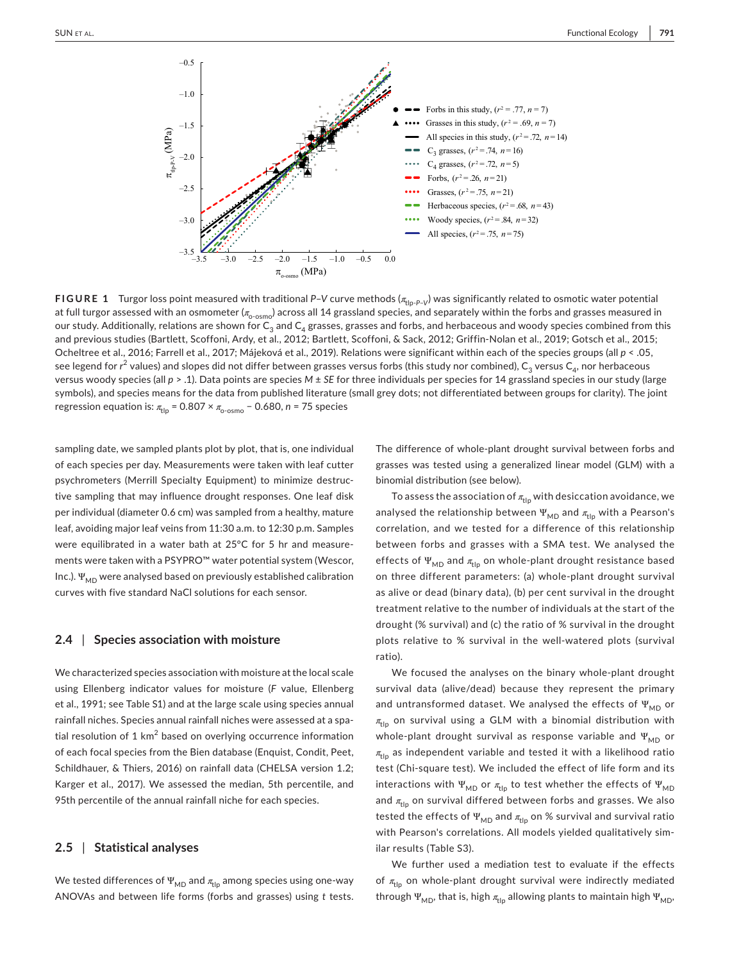

**FIGURE 1** Turgor loss point measured with traditional *P*–*V* curve methods ( $\pi$ <sub>tlp-*P*-*V*</sub>) was significantly related to osmotic water potential at full turgor assessed with an osmometer ( $π_{o\text{-osmo}}$ ) across all 14 grassland species, and separately within the forbs and grasses measured in our study. Additionally, relations are shown for  $C_3$  and  $C_4$  grasses, grasses and forbs, and herbaceous and woody species combined from this and previous studies (Bartlett, Scoffoni, Ardy, et al., 2012; Bartlett, Scoffoni, & Sack, 2012; Griffin-Nolan et al., 2019; Gotsch et al., 2015; Ocheltree et al., 2016; Farrell et al., 2017; Májeková et al., 2019). Relations were significant within each of the species groups (all *p* < .05, see legend for r<sup>2</sup> values) and slopes did not differ between grasses versus forbs (this study nor combined), C<sub>3</sub> versus C<sub>4</sub>, nor herbaceous versus woody species (all *p* > .1). Data points are species *M* ± *SE* for three individuals per species for 14 grassland species in our study (large symbols), and species means for the data from published literature (small grey dots; not differentiated between groups for clarity). The joint regression equation is:  $π_{\text{th}} = 0.807 × π_{\text{o-osmo}} - 0.680$ , *n* = 75 species

sampling date, we sampled plants plot by plot, that is, one individual of each species per day. Measurements were taken with leaf cutter psychrometers (Merrill Specialty Equipment) to minimize destructive sampling that may influence drought responses. One leaf disk per individual (diameter 0.6 cm) was sampled from a healthy, mature leaf, avoiding major leaf veins from 11:30 a.m. to 12:30 p.m. Samples were equilibrated in a water bath at 25°C for 5 hr and measurements were taken with a PSYPRO™ water potential system (Wescor, Inc.).  $\Psi_{MD}$  were analysed based on previously established calibration curves with five standard NaCl solutions for each sensor.

#### **2.4** | **Species association with moisture**

We characterized species association with moisture at the local scale using Ellenberg indicator values for moisture (*F* value, Ellenberg et al., 1991; see Table S1) and at the large scale using species annual rainfall niches. Species annual rainfall niches were assessed at a spatial resolution of 1 km $^2$  based on overlying occurrence information of each focal species from the Bien database (Enquist, Condit, Peet, Schildhauer, & Thiers, 2016) on rainfall data (CHELSA version 1.2; Karger et al., 2017). We assessed the median, 5th percentile, and 95th percentile of the annual rainfall niche for each species.

## **2.5** | **Statistical analyses**

We tested differences of  $\Psi_{MD}$  and  $\pi_{\text{tip}}$  among species using one-way ANOVAs and between life forms (forbs and grasses) using *t* tests.

The difference of whole-plant drought survival between forbs and grasses was tested using a generalized linear model (GLM) with a binomial distribution (see below).

To assess the association of  $\pi_{\text{th}}$  with desiccation avoidance, we analysed the relationship between  $\Psi_{\text{MD}}$  and  $\pi_{\text{tip}}$  with a Pearson's correlation, and we tested for a difference of this relationship between forbs and grasses with a SMA test. We analysed the effects of Ψ<sub>MD</sub> and  $π_{\text{th}}$  on whole-plant drought resistance based on three different parameters: (a) whole-plant drought survival as alive or dead (binary data), (b) per cent survival in the drought treatment relative to the number of individuals at the start of the drought (% survival) and (c) the ratio of % survival in the drought plots relative to % survival in the well-watered plots (survival ratio).

We focused the analyses on the binary whole-plant drought survival data (alive/dead) because they represent the primary and untransformed dataset. We analysed the effects of  $\Psi_{MD}$  or  $π_{\text{th}}$  on survival using a GLM with a binomial distribution with whole-plant drought survival as response variable and  $\Psi_{MD}$  or  $\pi_{\text{th}}$  as independent variable and tested it with a likelihood ratio test (Chi-square test). We included the effect of life form and its interactions with  $\Psi_{\text{MD}}$  or  $\pi_{\text{tip}}$  to test whether the effects of  $\Psi_{\text{MD}}$ and  $π_{\text{th}}$  on survival differed between forbs and grasses. We also tested the effects of  $\Psi_{MD}$  and  $\pi_{HD}$  on % survival and survival ratio with Pearson's correlations. All models yielded qualitatively similar results (Table S3).

We further used a mediation test to evaluate if the effects of π<sub>tlp</sub> on whole-plant drought survival were indirectly mediated through  $\Psi_{\text{MD}}$ , that is, high  $\pi_{\text{tip}}$  allowing plants to maintain high  $\Psi_{\text{MD}}$ ,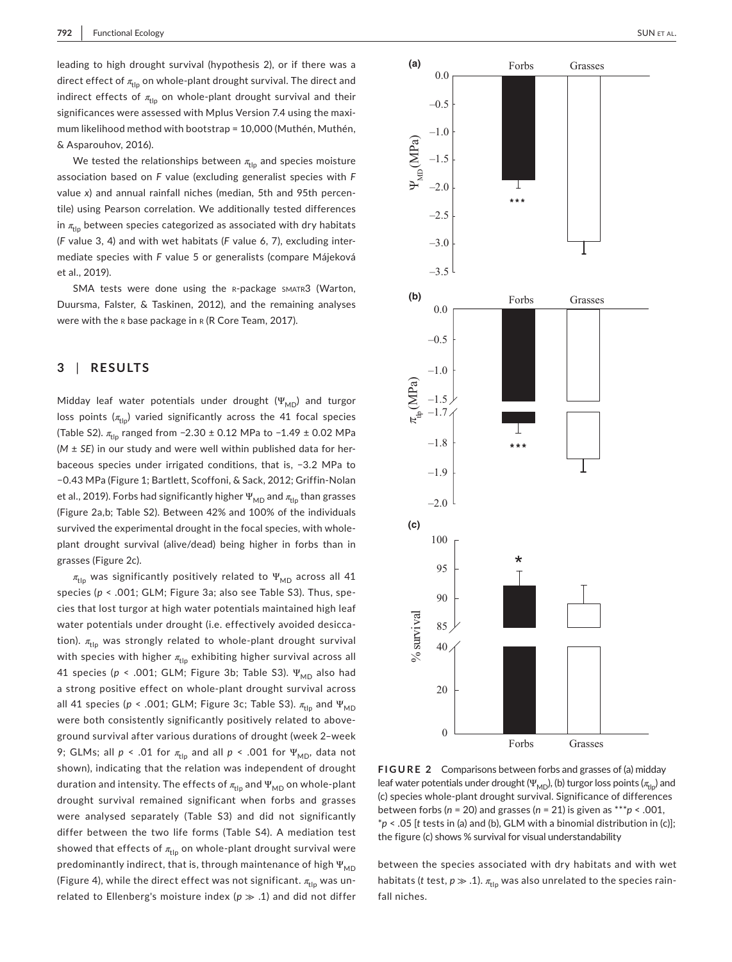leading to high drought survival (hypothesis 2), or if there was a direct effect of  $π_{\text{th}}$  on whole-plant drought survival. The direct and indirect effects of  $\pi_{\text{th}}$  on whole-plant drought survival and their significances were assessed with Mplus Version 7.4 using the maximum likelihood method with bootstrap = 10,000 (Muthén, Muthén, & Asparouhov, 2016).

We tested the relationships between  $π_{\text{th}}$  and species moisture association based on *F* value (excluding generalist species with *F* value *x*) and annual rainfall niches (median, 5th and 95th percentile) using Pearson correlation. We additionally tested differences in  $\pi_{\text{th}}$  between species categorized as associated with dry habitats (*F* value 3, 4) and with wet habitats (*F* value 6, 7), excluding intermediate species with *F* value 5 or generalists (compare Májeková et al., 2019).

SMA tests were done using the R-package SMATR3 (Warton, Duursma, Falster, & Taskinen, 2012), and the remaining analyses were with the R base package in R (R Core Team, 2017).

# **3** | **RESULTS**

Midday leaf water potentials under drought ( $\Psi_{MD}$ ) and turgor loss points ( $\pi_{\text{tip}}$ ) varied significantly across the 41 focal species (Table S2).  $\pi_{\text{th}}$  ranged from −2.30 ± 0.12 MPa to −1.49 ± 0.02 MPa (*M* ± *SE*) in our study and were well within published data for herbaceous species under irrigated conditions, that is, −3.2 MPa to −0.43 MPa (Figure 1; Bartlett, Scoffoni, & Sack, 2012; Griffin-Nolan et al., 2019). Forbs had significantly higher  $\Psi_{MD}$  and  $\pi_{HD}$  than grasses (Figure 2a,b; Table S2). Between 42% and 100% of the individuals survived the experimental drought in the focal species, with wholeplant drought survival (alive/dead) being higher in forbs than in grasses (Figure 2c).

 $\pi_{\text{th}}$  was significantly positively related to  $\Psi_{\text{MD}}$  across all 41 species (*p* < .001; GLM; Figure 3a; also see Table S3). Thus, species that lost turgor at high water potentials maintained high leaf water potentials under drought (i.e. effectively avoided desiccation).  $π_{\text{th}}$  was strongly related to whole-plant drought survival with species with higher  $π_{\text{tlp}}$  exhibiting higher survival across all 41 species ( $p \le 0.001$ ; GLM; Figure 3b; Table S3).  $\Psi_{MD}$  also had a strong positive effect on whole-plant drought survival across all 41 species ( $p < .001$ ; GLM; Figure 3c; Table S3).  $\pi_{\text{th}}$  and  $\Psi_{\text{MD}}$ were both consistently significantly positively related to aboveground survival after various durations of drought (week 2–week 9; GLMs; all *p* < .01 for  $\pi_{\text{th}}$  and all *p* < .001 for Ψ<sub>MD</sub>, data not shown), indicating that the relation was independent of drought duration and intensity. The effects of  $π_{{\rm tip}}$  and Ψ<sub>MD</sub> on whole-plant drought survival remained significant when forbs and grasses were analysed separately (Table S3) and did not significantly differ between the two life forms (Table S4). A mediation test showed that effects of  $\pi_{\text{th}}$  on whole-plant drought survival were predominantly indirect, that is, through maintenance of high  $\Psi_{\mathsf{MD}}$ (Figure 4), while the direct effect was not significant.  $π_{\text{tlp}}$  was unrelated to Ellenberg's moisture index ( $p \gg .1$ ) and did not differ



**FIGURE 2** Comparisons between forbs and grasses of (a) midday leaf water potentials under drought ( $\Psi_{MD}$ ), (b) turgor loss points ( $\pi_{\text{th}}$ ) and (c) species whole-plant drought survival. Significance of differences between forbs (*n* = 20) and grasses (*n* = 21) is given as \*\*\**p* < .001, \**p* < .05 [*t* tests in (a) and (b), GLM with a binomial distribution in (c)]; the figure (c) shows % survival for visual understandability

between the species associated with dry habitats and with wet habitats (*t* test,  $p \gg 0.1$ ).  $\pi_{\text{th}}$  was also unrelated to the species rainfall niches.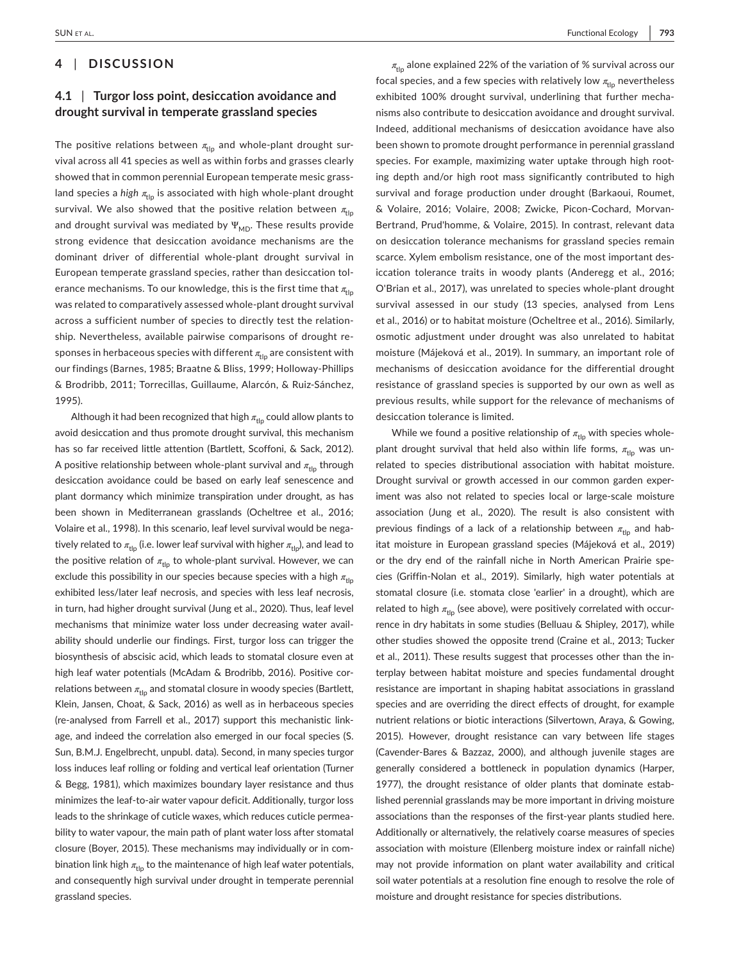# **4** | **DISCUSSION**

# **4.1** | **Turgor loss point, desiccation avoidance and drought survival in temperate grassland species**

The positive relations between  $π_{\text{th}}$  and whole-plant drought survival across all 41 species as well as within forbs and grasses clearly showed that in common perennial European temperate mesic grassland species a *high*  $π_{\text{th}}$  is associated with high whole-plant drought survival. We also showed that the positive relation between  $π_{\text{th}}$ and drought survival was mediated by  $\Psi_{MD}$ . These results provide strong evidence that desiccation avoidance mechanisms are the dominant driver of differential whole-plant drought survival in European temperate grassland species, rather than desiccation tolerance mechanisms. To our knowledge, this is the first time that  $π_{\text{thr}}$ was related to comparatively assessed whole-plant drought survival across a sufficient number of species to directly test the relationship. Nevertheless, available pairwise comparisons of drought responses in herbaceous species with different  $π_{\text{th}}$  are consistent with our findings (Barnes, 1985; Braatne & Bliss, 1999; Holloway-Phillips & Brodribb, 2011; Torrecillas, Guillaume, Alarcón, & Ruiz-Sánchez, 1995).

Although it had been recognized that high  $\pi_{\text{th}}$  could allow plants to avoid desiccation and thus promote drought survival, this mechanism has so far received little attention (Bartlett, Scoffoni, & Sack, 2012). A positive relationship between whole-plant survival and  $\pi_{\text{th}}$  through desiccation avoidance could be based on early leaf senescence and plant dormancy which minimize transpiration under drought, as has been shown in Mediterranean grasslands (Ocheltree et al., 2016; Volaire et al., 1998). In this scenario, leaf level survival would be negatively related to  $\pi_{\text{th}}$  (i.e. lower leaf survival with higher  $\pi_{\text{th}}$ ), and lead to the positive relation of  $\pi_{\text{th}}$  to whole-plant survival. However, we can exclude this possibility in our species because species with a high  $\pi_{\text{th}}$ exhibited less/later leaf necrosis, and species with less leaf necrosis, in turn, had higher drought survival (Jung et al., 2020). Thus, leaf level mechanisms that minimize water loss under decreasing water availability should underlie our findings. First, turgor loss can trigger the biosynthesis of abscisic acid, which leads to stomatal closure even at high leaf water potentials (McAdam & Brodribb, 2016). Positive correlations between  $π_{\text{tlp}}$  and stomatal closure in woody species (Bartlett, Klein, Jansen, Choat, & Sack, 2016) as well as in herbaceous species (re-analysed from Farrell et al., 2017) support this mechanistic linkage, and indeed the correlation also emerged in our focal species (S. Sun, B.M.J. Engelbrecht, unpubl. data). Second, in many species turgor loss induces leaf rolling or folding and vertical leaf orientation (Turner & Begg, 1981), which maximizes boundary layer resistance and thus minimizes the leaf-to-air water vapour deficit. Additionally, turgor loss leads to the shrinkage of cuticle waxes, which reduces cuticle permeability to water vapour, the main path of plant water loss after stomatal closure (Boyer, 2015). These mechanisms may individually or in combination link high  $\pi_{\text{th}}$  to the maintenance of high leaf water potentials, and consequently high survival under drought in temperate perennial grassland species.

 $\pi_{\text{th}}$  alone explained 22% of the variation of % survival across our focal species, and a few species with relatively low  $π_{\text{th}}$  nevertheless exhibited 100% drought survival, underlining that further mechanisms also contribute to desiccation avoidance and drought survival. Indeed, additional mechanisms of desiccation avoidance have also been shown to promote drought performance in perennial grassland species. For example, maximizing water uptake through high rooting depth and/or high root mass significantly contributed to high survival and forage production under drought (Barkaoui, Roumet, & Volaire, 2016; Volaire, 2008; Zwicke, Picon-Cochard, Morvan-Bertrand, Prud'homme, & Volaire, 2015). In contrast, relevant data on desiccation tolerance mechanisms for grassland species remain scarce. Xylem embolism resistance, one of the most important desiccation tolerance traits in woody plants (Anderegg et al., 2016; O'Brian et al., 2017), was unrelated to species whole-plant drought survival assessed in our study (13 species, analysed from Lens et al., 2016) or to habitat moisture (Ocheltree et al., 2016). Similarly, osmotic adjustment under drought was also unrelated to habitat moisture (Májeková et al., 2019). In summary, an important role of mechanisms of desiccation avoidance for the differential drought resistance of grassland species is supported by our own as well as previous results, while support for the relevance of mechanisms of desiccation tolerance is limited.

While we found a positive relationship of  $\pi_{\text{th}}$  with species wholeplant drought survival that held also within life forms,  $π_{\text{tlp}}$  was unrelated to species distributional association with habitat moisture. Drought survival or growth accessed in our common garden experiment was also not related to species local or large-scale moisture association (Jung et al., 2020). The result is also consistent with previous findings of a lack of a relationship between  $π_{\text{th}}$  and habitat moisture in European grassland species (Májeková et al., 2019) or the dry end of the rainfall niche in North American Prairie species (Griffin-Nolan et al., 2019). Similarly, high water potentials at stomatal closure (i.e. stomata close 'earlier' in a drought), which are related to high  $π_{\text{th}}$  (see above), were positively correlated with occurrence in dry habitats in some studies (Belluau & Shipley, 2017), while other studies showed the opposite trend (Craine et al., 2013; Tucker et al., 2011). These results suggest that processes other than the interplay between habitat moisture and species fundamental drought resistance are important in shaping habitat associations in grassland species and are overriding the direct effects of drought, for example nutrient relations or biotic interactions (Silvertown, Araya, & Gowing, 2015). However, drought resistance can vary between life stages (Cavender-Bares & Bazzaz, 2000), and although juvenile stages are generally considered a bottleneck in population dynamics (Harper, 1977), the drought resistance of older plants that dominate established perennial grasslands may be more important in driving moisture associations than the responses of the first-year plants studied here. Additionally or alternatively, the relatively coarse measures of species association with moisture (Ellenberg moisture index or rainfall niche) may not provide information on plant water availability and critical soil water potentials at a resolution fine enough to resolve the role of moisture and drought resistance for species distributions.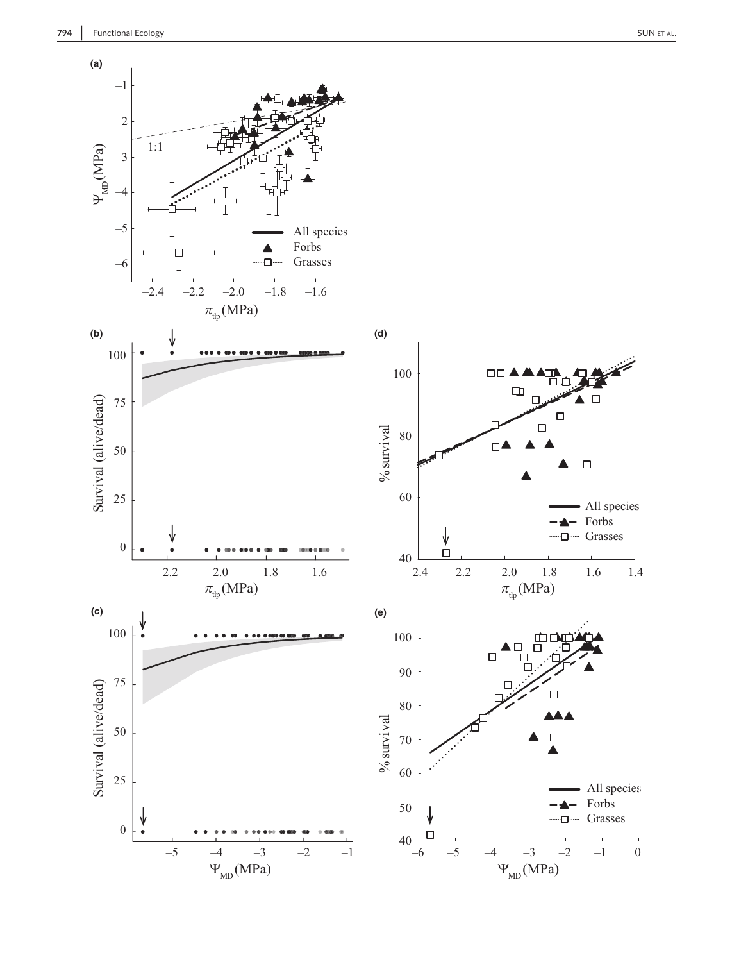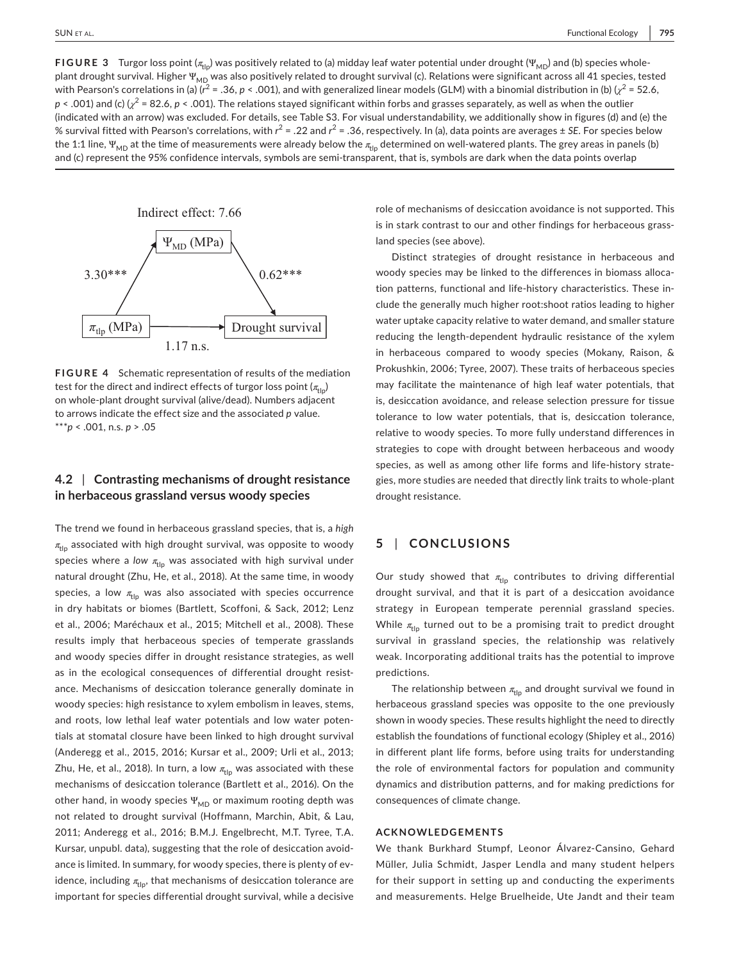**FIGURE 3** Turgor loss point ( $\pi_{\text{tip}}$ ) was positively related to (a) midday leaf water potential under drought (Ψ<sub>MD</sub>) and (b) species wholeplant drought survival. Higher Ψ<sub>MD</sub> was also positively related to drought survival (c). Relations were significant across all 41 species, tested with Pearson's correlations in (a) ( $r^2$  = .36,  $p <$  .001), and with generalized linear models (GLM) with a binomial distribution in (b) ( $\chi^2$  = 52.6,  $p < .001$ ) and (c) ( $\chi^2$  = 82.6,  $p < .001$ ). The relations stayed significant within forbs and grasses separately, as well as when the outlier (indicated with an arrow) was excluded. For details, see Table S3. For visual understandability, we additionally show in figures (d) and (e) the % survival fitted with Pearson's correlations, with  $r^2$  = .22 and  $r^2$  = .36, respectively. In (a), data points are averages  $\pm$  *SE*. For species below the 1:1 line, Ψ<sub>MD</sub> at the time of measurements were already below the  $π_{\text{th}}$  determined on well-watered plants. The grey areas in panels (b) and (c) represent the 95% confidence intervals, symbols are semi-transparent, that is, symbols are dark when the data points overlap



**FIGURE 4** Schematic representation of results of the mediation test for the direct and indirect effects of turgor loss point (π<sub>tln</sub>) on whole-plant drought survival (alive/dead). Numbers adjacent to arrows indicate the effect size and the associated *p* value. \*\*\**p* < .001, n.s. *p* > .05

# **4.2** | **Contrasting mechanisms of drought resistance in herbaceous grassland versus woody species**

The trend we found in herbaceous grassland species, that is, a *high*  $π_{\text{th}}$  associated with high drought survival, was opposite to woody species where a *low*  $π_{\text{th}}$  was associated with high survival under natural drought (Zhu, He, et al., 2018). At the same time, in woody species, a low  $\pi_{\text{tip}}$  was also associated with species occurrence in dry habitats or biomes (Bartlett, Scoffoni, & Sack, 2012; Lenz et al., 2006; Maréchaux et al., 2015; Mitchell et al., 2008). These results imply that herbaceous species of temperate grasslands and woody species differ in drought resistance strategies, as well as in the ecological consequences of differential drought resistance. Mechanisms of desiccation tolerance generally dominate in woody species: high resistance to xylem embolism in leaves, stems, and roots, low lethal leaf water potentials and low water potentials at stomatal closure have been linked to high drought survival (Anderegg et al., 2015, 2016; Kursar et al., 2009; Urli et al., 2013; Zhu, He, et al., 2018). In turn, a low  $\pi_{\text{th}}$  was associated with these mechanisms of desiccation tolerance (Bartlett et al., 2016). On the other hand, in woody species  $\Psi_{MD}$  or maximum rooting depth was not related to drought survival (Hoffmann, Marchin, Abit, & Lau, 2011; Anderegg et al., 2016; B.M.J. Engelbrecht, M.T. Tyree, T.A. Kursar, unpubl. data), suggesting that the role of desiccation avoidance is limited. In summary, for woody species, there is plenty of evidence, including  $π_{\text{tip}}$ , that mechanisms of desiccation tolerance are important for species differential drought survival, while a decisive role of mechanisms of desiccation avoidance is not supported. This is in stark contrast to our and other findings for herbaceous grassland species (see above).

Distinct strategies of drought resistance in herbaceous and woody species may be linked to the differences in biomass allocation patterns, functional and life-history characteristics. These include the generally much higher root:shoot ratios leading to higher water uptake capacity relative to water demand, and smaller stature reducing the length-dependent hydraulic resistance of the xylem in herbaceous compared to woody species (Mokany, Raison, & Prokushkin, 2006; Tyree, 2007). These traits of herbaceous species may facilitate the maintenance of high leaf water potentials, that is, desiccation avoidance, and release selection pressure for tissue tolerance to low water potentials, that is, desiccation tolerance, relative to woody species. To more fully understand differences in strategies to cope with drought between herbaceous and woody species, as well as among other life forms and life-history strategies, more studies are needed that directly link traits to whole-plant drought resistance.

# **5** | **CONCLUSIONS**

Our study showed that  $\pi_{\text{th}}$  contributes to driving differential drought survival, and that it is part of a desiccation avoidance strategy in European temperate perennial grassland species. While  $\pi_{\text{th}}$  turned out to be a promising trait to predict drought survival in grassland species, the relationship was relatively weak. Incorporating additional traits has the potential to improve predictions.

The relationship between  $π_{\text{th}}$  and drought survival we found in herbaceous grassland species was opposite to the one previously shown in woody species. These results highlight the need to directly establish the foundations of functional ecology (Shipley et al., 2016) in different plant life forms, before using traits for understanding the role of environmental factors for population and community dynamics and distribution patterns, and for making predictions for consequences of climate change.

#### **ACKNOWLEDGEMENTS**

We thank Burkhard Stumpf, Leonor Álvarez-Cansino, Gehard Müller, Julia Schmidt, Jasper Lendla and many student helpers for their support in setting up and conducting the experiments and measurements. Helge Bruelheide, Ute Jandt and their team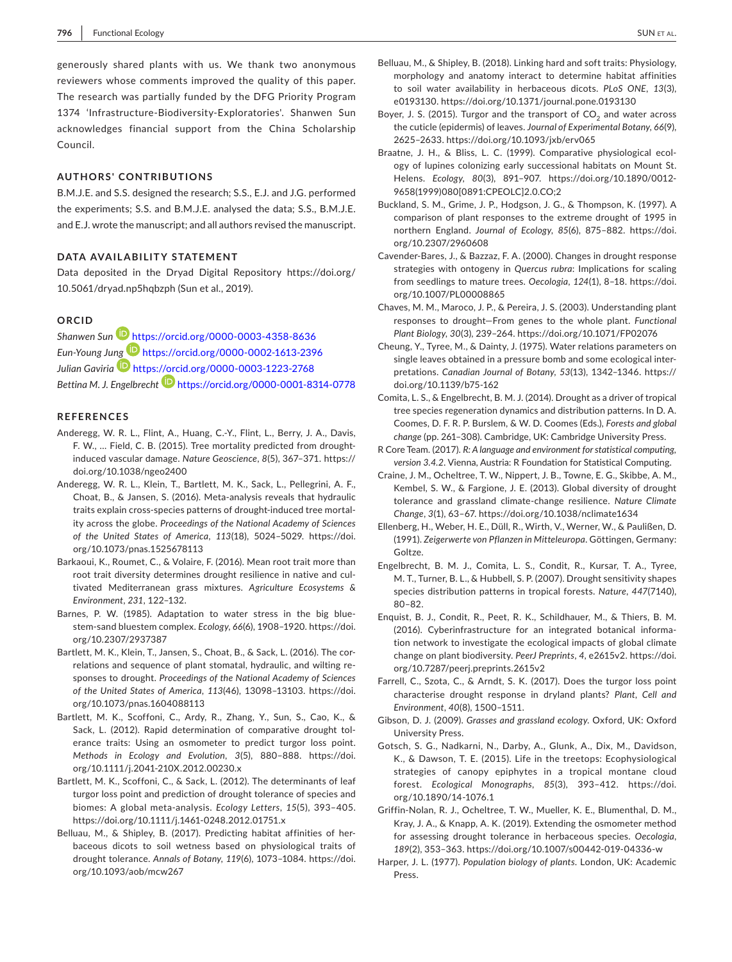generously shared plants with us. We thank two anonymous reviewers whose comments improved the quality of this paper. The research was partially funded by the DFG Priority Program 1374 'Infrastructure-Biodiversity-Exploratories'. Shanwen Sun acknowledges financial support from the China Scholarship Council.

#### **AUTHORS' CONTRIBUTIONS**

B.M.J.E. and S.S. designed the research; S.S., E.J. and J.G. performed the experiments; S.S. and B.M.J.E. analysed the data; S.S., B.M.J.E. and E.J. wrote the manuscript; and all authors revised the manuscript.

#### **DATA AVAILABILITY STATEMENT**

Data deposited in the Dryad Digital Repository [https://doi.org/](https://doi.org/10.5061/dryad.np5hqbzph) [10.5061/dryad.np5hqbzph](https://doi.org/10.5061/dryad.np5hqbzph) (Sun et al., 2019).

## **ORCID**

*Shanwen Su[n](https://orcid.org/0000-0003-4358-8636)* <https://orcid.org/0000-0003-4358-8636> *Eun-Young Ju[ng](https://orcid.org/0000-0003-1223-2768)* <https://orcid.org/0000-0002-1613-2396> *Julian Gaviria* <https://orcid.org/0000-0003-1223-2768> *Bettina M. J. Engelbrecht* <https://orcid.org/0000-0001-8314-0778>

#### **REFERENCES**

- Anderegg, W. R. L., Flint, A., Huang, C.-Y., Flint, L., Berry, J. A., Davis, F. W., … Field, C. B. (2015). Tree mortality predicted from droughtinduced vascular damage. *Nature Geoscience*, *8*(5), 367–371. [https://](https://doi.org/10.1038/ngeo2400) [doi.org/10.1038/ngeo2400](https://doi.org/10.1038/ngeo2400)
- Anderegg, W. R. L., Klein, T., Bartlett, M. K., Sack, L., Pellegrini, A. F., Choat, B., & Jansen, S. (2016). Meta-analysis reveals that hydraulic traits explain cross-species patterns of drought-induced tree mortality across the globe. *Proceedings of the National Academy of Sciences of the United States of America*, *113*(18), 5024–5029. [https://doi.](https://doi.org/10.1073/pnas.1525678113) [org/10.1073/pnas.1525678113](https://doi.org/10.1073/pnas.1525678113)
- Barkaoui, K., Roumet, C., & Volaire, F. (2016). Mean root trait more than root trait diversity determines drought resilience in native and cultivated Mediterranean grass mixtures. *Agriculture Ecosystems & Environment*, *231*, 122–132.
- Barnes, P. W. (1985). Adaptation to water stress in the big bluestem-sand bluestem complex. *Ecology*, *66*(6), 1908–1920. [https://doi.](https://doi.org/10.2307/2937387) [org/10.2307/2937387](https://doi.org/10.2307/2937387)
- Bartlett, M. K., Klein, T., Jansen, S., Choat, B., & Sack, L. (2016). The correlations and sequence of plant stomatal, hydraulic, and wilting responses to drought. *Proceedings of the National Academy of Sciences of the United States of America*, *113*(46), 13098–13103. [https://doi.](https://doi.org/10.1073/pnas.1604088113) [org/10.1073/pnas.1604088113](https://doi.org/10.1073/pnas.1604088113)
- Bartlett, M. K., Scoffoni, C., Ardy, R., Zhang, Y., Sun, S., Cao, K., & Sack, L. (2012). Rapid determination of comparative drought tolerance traits: Using an osmometer to predict turgor loss point. *Methods in Ecology and Evolution*, *3*(5), 880–888. [https://doi.](https://doi.org/10.1111/j.2041-210X.2012.00230.x) [org/10.1111/j.2041-210X.2012.00230.x](https://doi.org/10.1111/j.2041-210X.2012.00230.x)
- Bartlett, M. K., Scoffoni, C., & Sack, L. (2012). The determinants of leaf turgor loss point and prediction of drought tolerance of species and biomes: A global meta-analysis. *Ecology Letters*, *15*(5), 393–405. <https://doi.org/10.1111/j.1461-0248.2012.01751.x>
- Belluau, M., & Shipley, B. (2017). Predicting habitat affinities of herbaceous dicots to soil wetness based on physiological traits of drought tolerance. *Annals of Botany*, *119*(6), 1073–1084. [https://doi.](https://doi.org/10.1093/aob/mcw267) [org/10.1093/aob/mcw267](https://doi.org/10.1093/aob/mcw267)
- Belluau, M., & Shipley, B. (2018). Linking hard and soft traits: Physiology, morphology and anatomy interact to determine habitat affinities to soil water availability in herbaceous dicots. *PLoS ONE*, *13*(3), e0193130. <https://doi.org/10.1371/journal.pone.0193130>
- Boyer, J. S. (2015). Turgor and the transport of  $CO<sub>2</sub>$  and water across the cuticle (epidermis) of leaves. *Journal of Experimental Botany*, *66*(9), 2625–2633.<https://doi.org/10.1093/jxb/erv065>
- Braatne, J. H., & Bliss, L. C. (1999). Comparative physiological ecology of lupines colonizing early successional habitats on Mount St. Helens. *Ecology*, *80*(3), 891–907. [https://doi.org/10.1890/0012-](https://doi.org/10.1890/0012-9658(1999)080%5B0891:CPEOLC%5D2.0.CO;2) [9658\(1999\)080\[0891:CPEOLC\]2.0.CO;2](https://doi.org/10.1890/0012-9658(1999)080%5B0891:CPEOLC%5D2.0.CO;2)
- Buckland, S. M., Grime, J. P., Hodgson, J. G., & Thompson, K. (1997). A comparison of plant responses to the extreme drought of 1995 in northern England. *Journal of Ecology*, *85*(6), 875–882. [https://doi.](https://doi.org/10.2307/2960608) [org/10.2307/2960608](https://doi.org/10.2307/2960608)
- Cavender-Bares, J., & Bazzaz, F. A. (2000). Changes in drought response strategies with ontogeny in *Quercus rubra*: Implications for scaling from seedlings to mature trees. *Oecologia*, *124*(1), 8–18. [https://doi.](https://doi.org/10.1007/PL00008865) [org/10.1007/PL00008865](https://doi.org/10.1007/PL00008865)
- Chaves, M. M., Maroco, J. P., & Pereira, J. S. (2003). Understanding plant responses to drought—From genes to the whole plant. *Functional Plant Biology*, *30*(3), 239–264.<https://doi.org/10.1071/FP02076>
- Cheung, Y., Tyree, M., & Dainty, J. (1975). Water relations parameters on single leaves obtained in a pressure bomb and some ecological interpretations. *Canadian Journal of Botany*, *53*(13), 1342–1346. [https://](https://doi.org/10.1139/b75-162) [doi.org/10.1139/b75-162](https://doi.org/10.1139/b75-162)
- Comita, L. S., & Engelbrecht, B. M. J. (2014). Drought as a driver of tropical tree species regeneration dynamics and distribution patterns. In D. A. Coomes, D. F. R. P. Burslem, & W. D. Coomes (Eds.), *Forests and global change* (pp. 261–308). Cambridge, UK: Cambridge University Press.
- R Core Team. (2017). *R: A language and environment for statistical computing, version 3.4.2*. Vienna, Austria: R Foundation for Statistical Computing.
- Craine, J. M., Ocheltree, T. W., Nippert, J. B., Towne, E. G., Skibbe, A. M., Kembel, S. W., & Fargione, J. E. (2013). Global diversity of drought tolerance and grassland climate-change resilience. *Nature Climate Change*, *3*(1), 63–67. <https://doi.org/10.1038/nclimate1634>
- Ellenberg, H., Weber, H. E., Düll, R., Wirth, V., Werner, W., & Paulißen, D. (1991). *Zeigerwerte von Pflanzen in Mitteleuropa*. Göttingen, Germany: Goltze.
- Engelbrecht, B. M. J., Comita, L. S., Condit, R., Kursar, T. A., Tyree, M. T., Turner, B. L., & Hubbell, S. P. (2007). Drought sensitivity shapes species distribution patterns in tropical forests. *Nature*, *447*(7140), 80–82.
- Enquist, B. J., Condit, R., Peet, R. K., Schildhauer, M., & Thiers, B. M. (2016). Cyberinfrastructure for an integrated botanical information network to investigate the ecological impacts of global climate change on plant biodiversity. *PeerJ Preprints*, *4*, e2615v2. [https://doi.](https://doi.org/10.7287/peerj.preprints.2615v2) [org/10.7287/peerj.preprints.2615v2](https://doi.org/10.7287/peerj.preprints.2615v2)
- Farrell, C., Szota, C., & Arndt, S. K. (2017). Does the turgor loss point characterise drought response in dryland plants? *Plant, Cell and Environment*, *40*(8), 1500–1511.
- Gibson, D. J. (2009). *Grasses and grassland ecology*. Oxford, UK: Oxford University Press.
- Gotsch, S. G., Nadkarni, N., Darby, A., Glunk, A., Dix, M., Davidson, K., & Dawson, T. E. (2015). Life in the treetops: Ecophysiological strategies of canopy epiphytes in a tropical montane cloud forest. *Ecological Monographs*, *85*(3), 393–412. [https://doi.](https://doi.org/10.1890/14-1076.1) [org/10.1890/14-1076.1](https://doi.org/10.1890/14-1076.1)
- Griffin-Nolan, R. J., Ocheltree, T. W., Mueller, K. E., Blumenthal, D. M., Kray, J. A., & Knapp, A. K. (2019). Extending the osmometer method for assessing drought tolerance in herbaceous species. *Oecologia*, *189*(2), 353–363. <https://doi.org/10.1007/s00442-019-04336-w>
- Harper, J. L. (1977). *Population biology of plants*. London, UK: Academic Press.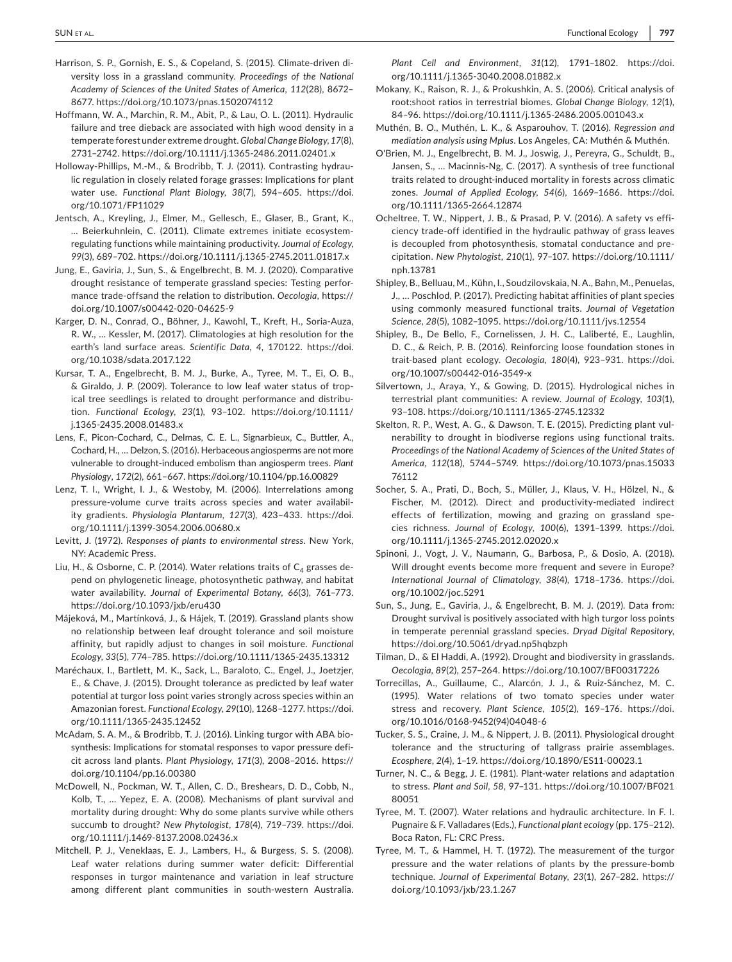- Harrison, S. P., Gornish, E. S., & Copeland, S. (2015). Climate-driven diversity loss in a grassland community. *Proceedings of the National Academy of Sciences of the United States of America*, *112*(28), 8672– 8677.<https://doi.org/10.1073/pnas.1502074112>
- Hoffmann, W. A., Marchin, R. M., Abit, P., & Lau, O. L. (2011). Hydraulic failure and tree dieback are associated with high wood density in a temperate forest under extreme drought. *Global Change Biology*, *17*(8), 2731–2742.<https://doi.org/10.1111/j.1365-2486.2011.02401.x>
- Holloway-Phillips, M.-M., & Brodribb, T. J. (2011). Contrasting hydraulic regulation in closely related forage grasses: Implications for plant water use. *Functional Plant Biology*, *38*(7), 594–605. [https://doi.](https://doi.org/10.1071/FP11029) [org/10.1071/FP11029](https://doi.org/10.1071/FP11029)
- Jentsch, A., Kreyling, J., Elmer, M., Gellesch, E., Glaser, B., Grant, K., … Beierkuhnlein, C. (2011). Climate extremes initiate ecosystemregulating functions while maintaining productivity. *Journal of Ecology*, *99*(3), 689–702.<https://doi.org/10.1111/j.1365-2745.2011.01817.x>
- Jung, E., Gaviria, J., Sun, S., & Engelbrecht, B. M. J. (2020). Comparative drought resistance of temperate grassland species: Testing performance trade-offsand the relation to distribution. *Oecologia*, [https://](https://doi.org/10.1007/s00442-020-04625-9) [doi.org/10.1007/s00442-020-04625-9](https://doi.org/10.1007/s00442-020-04625-9)
- Karger, D. N., Conrad, O., Böhner, J., Kawohl, T., Kreft, H., Soria-Auza, R. W., … Kessler, M. (2017). Climatologies at high resolution for the earth's land surface areas. *Scientific Data*, *4*, 170122. [https://doi.](https://doi.org/10.1038/sdata.2017.122) [org/10.1038/sdata.2017.122](https://doi.org/10.1038/sdata.2017.122)
- Kursar, T. A., Engelbrecht, B. M. J., Burke, A., Tyree, M. T., Ei, O. B., & Giraldo, J. P. (2009). Tolerance to low leaf water status of tropical tree seedlings is related to drought performance and distribution. *Functional Ecology*, *23*(1), 93–102. [https://doi.org/10.1111/](https://doi.org/10.1111/j.1365-2435.2008.01483.x) [j.1365-2435.2008.01483.x](https://doi.org/10.1111/j.1365-2435.2008.01483.x)
- Lens, F., Picon-Cochard, C., Delmas, C. E. L., Signarbieux, C., Buttler, A., Cochard, H., … Delzon, S. (2016). Herbaceous angiosperms are not more vulnerable to drought-induced embolism than angiosperm trees. *Plant Physiology*, *172*(2), 661–667. <https://doi.org/10.1104/pp.16.00829>
- Lenz, T. I., Wright, I. J., & Westoby, M. (2006). Interrelations among pressure-volume curve traits across species and water availability gradients. *Physiologia Plantarum*, *127*(3), 423–433. [https://doi.](https://doi.org/10.1111/j.1399-3054.2006.00680.x) [org/10.1111/j.1399-3054.2006.00680.x](https://doi.org/10.1111/j.1399-3054.2006.00680.x)
- Levitt, J. (1972). *Responses of plants to environmental stress*. New York, NY: Academic Press.
- Liu, H., & Osborne, C. P. (2014). Water relations traits of  $C_4$  grasses depend on phylogenetic lineage, photosynthetic pathway, and habitat water availability. *Journal of Experimental Botany*, *66*(3), 761–773. <https://doi.org/10.1093/jxb/eru430>
- Májeková, M., Martínková, J., & Hájek, T. (2019). Grassland plants show no relationship between leaf drought tolerance and soil moisture affinity, but rapidly adjust to changes in soil moisture. *Functional Ecology*, *33*(5), 774–785.<https://doi.org/10.1111/1365-2435.13312>
- Maréchaux, I., Bartlett, M. K., Sack, L., Baraloto, C., Engel, J., Joetzjer, E., & Chave, J. (2015). Drought tolerance as predicted by leaf water potential at turgor loss point varies strongly across species within an Amazonian forest. *Functional Ecology*, *29*(10), 1268–1277. [https://doi.](https://doi.org/10.1111/1365-2435.12452) [org/10.1111/1365-2435.12452](https://doi.org/10.1111/1365-2435.12452)
- McAdam, S. A. M., & Brodribb, T. J. (2016). Linking turgor with ABA biosynthesis: Implications for stomatal responses to vapor pressure deficit across land plants. *Plant Physiology*, *171*(3), 2008–2016. [https://](https://doi.org/10.1104/pp.16.00380) [doi.org/10.1104/pp.16.00380](https://doi.org/10.1104/pp.16.00380)
- McDowell, N., Pockman, W. T., Allen, C. D., Breshears, D. D., Cobb, N., Kolb, T., … Yepez, E. A. (2008). Mechanisms of plant survival and mortality during drought: Why do some plants survive while others succumb to drought? *New Phytologist*, *178*(4), 719–739. [https://doi.](https://doi.org/10.1111/j.1469-8137.2008.02436.x) [org/10.1111/j.1469-8137.2008.02436.x](https://doi.org/10.1111/j.1469-8137.2008.02436.x)
- Mitchell, P. J., Veneklaas, E. J., Lambers, H., & Burgess, S. S. (2008). Leaf water relations during summer water deficit: Differential responses in turgor maintenance and variation in leaf structure among different plant communities in south-western Australia.

*Plant Cell and Environment*, *31*(12), 1791–1802. [https://doi.](https://doi.org/10.1111/j.1365-3040.2008.01882.x) [org/10.1111/j.1365-3040.2008.01882.x](https://doi.org/10.1111/j.1365-3040.2008.01882.x)

- Mokany, K., Raison, R. J., & Prokushkin, A. S. (2006). Critical analysis of root:shoot ratios in terrestrial biomes. *Global Change Biology*, *12*(1), 84–96.<https://doi.org/10.1111/j.1365-2486.2005.001043.x>
- Muthén, B. O., Muthén, L. K., & Asparouhov, T. (2016). *Regression and mediation analysis using Mplus*. Los Angeles, CA: Muthén & Muthén.
- O'Brien, M. J., Engelbrecht, B. M. J., Joswig, J., Pereyra, G., Schuldt, B., Jansen, S., … Macinnis-Ng, C. (2017). A synthesis of tree functional traits related to drought-induced mortality in forests across climatic zones. *Journal of Applied Ecology*, *54*(6), 1669–1686. [https://doi.](https://doi.org/10.1111/1365-2664.12874) [org/10.1111/1365-2664.12874](https://doi.org/10.1111/1365-2664.12874)
- Ocheltree, T. W., Nippert, J. B., & Prasad, P. V. (2016). A safety vs efficiency trade-off identified in the hydraulic pathway of grass leaves is decoupled from photosynthesis, stomatal conductance and precipitation. *New Phytologist*, *210*(1), 97–107. [https://doi.org/10.1111/](https://doi.org/10.1111/nph.13781) [nph.13781](https://doi.org/10.1111/nph.13781)
- Shipley, B., Belluau, M., Kühn, I., Soudzilovskaia, N. A., Bahn, M., Penuelas, J., … Poschlod, P. (2017). Predicting habitat affinities of plant species using commonly measured functional traits. *Journal of Vegetation Science*, *28*(5), 1082–1095. <https://doi.org/10.1111/jvs.12554>
- Shipley, B., De Bello, F., Cornelissen, J. H. C., Laliberté, E., Laughlin, D. C., & Reich, P. B. (2016). Reinforcing loose foundation stones in trait-based plant ecology. *Oecologia*, *180*(4), 923–931. [https://doi.](https://doi.org/10.1007/s00442-016-3549-x) [org/10.1007/s00442-016-3549-x](https://doi.org/10.1007/s00442-016-3549-x)
- Silvertown, J., Araya, Y., & Gowing, D. (2015). Hydrological niches in terrestrial plant communities: A review. *Journal of Ecology*, *103*(1), 93–108.<https://doi.org/10.1111/1365-2745.12332>
- Skelton, R. P., West, A. G., & Dawson, T. E. (2015). Predicting plant vulnerability to drought in biodiverse regions using functional traits. *Proceedings of the National Academy of Sciences of the United States of America*, *112*(18), 5744–5749. [https://doi.org/10.1073/pnas.15033](https://doi.org/10.1073/pnas.1503376112) [76112](https://doi.org/10.1073/pnas.1503376112)
- Socher, S. A., Prati, D., Boch, S., Müller, J., Klaus, V. H., Hölzel, N., & Fischer, M. (2012). Direct and productivity-mediated indirect effects of fertilization, mowing and grazing on grassland species richness. *Journal of Ecology*, *100*(6), 1391–1399. [https://doi.](https://doi.org/10.1111/j.1365-2745.2012.02020.x) [org/10.1111/j.1365-2745.2012.02020.x](https://doi.org/10.1111/j.1365-2745.2012.02020.x)
- Spinoni, J., Vogt, J. V., Naumann, G., Barbosa, P., & Dosio, A. (2018). Will drought events become more frequent and severe in Europe? *International Journal of Climatology*, *38*(4), 1718–1736. [https://doi.](https://doi.org/10.1002/joc.5291) [org/10.1002/joc.5291](https://doi.org/10.1002/joc.5291)
- Sun, S., Jung, E., Gaviria, J., & Engelbrecht, B. M. J. (2019). Data from: Drought survival is positively associated with high turgor loss points in temperate perennial grassland species. *Dryad Digital Repository*, <https://doi.org/10.5061/dryad.np5hqbzph>
- Tilman, D., & El Haddi, A. (1992). Drought and biodiversity in grasslands. *Oecologia*, *89*(2), 257–264. <https://doi.org/10.1007/BF00317226>
- Torrecillas, A., Guillaume, C., Alarcón, J. J., & Ruiz-Sánchez, M. C. (1995). Water relations of two tomato species under water stress and recovery. *Plant Science*, *105*(2), 169–176. [https://doi.](https://doi.org/10.1016/0168-9452(94)04048-6) [org/10.1016/0168-9452\(94\)04048-6](https://doi.org/10.1016/0168-9452(94)04048-6)
- Tucker, S. S., Craine, J. M., & Nippert, J. B. (2011). Physiological drought tolerance and the structuring of tallgrass prairie assemblages. *Ecosphere*, *2*(4), 1–19. <https://doi.org/10.1890/ES11-00023.1>
- Turner, N. C., & Begg, J. E. (1981). Plant-water relations and adaptation to stress. *Plant and Soil*, *58*, 97–131. [https://doi.org/10.1007/BF021](https://doi.org/10.1007/BF02180051) [80051](https://doi.org/10.1007/BF02180051)
- Tyree, M. T. (2007). Water relations and hydraulic architecture. In F. I. Pugnaire & F. Valladares (Eds.), *Functional plant ecology* (pp. 175–212). Boca Raton, FL: CRC Press.
- Tyree, M. T., & Hammel, H. T. (1972). The measurement of the turgor pressure and the water relations of plants by the pressure-bomb technique. *Journal of Experimental Botany*, *23*(1), 267–282. [https://](https://doi.org/10.1093/jxb/23.1.267) [doi.org/10.1093/jxb/23.1.267](https://doi.org/10.1093/jxb/23.1.267)